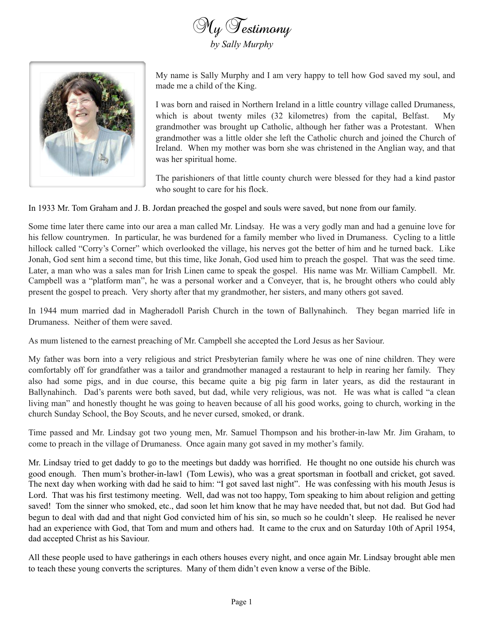



My name is Sally Murphy and I am very happy to tell how God saved my soul, and made me a child of the King.

I was born and raised in Northern Ireland in a little country village called Drumaness, which is about twenty miles (32 kilometres) from the capital, Belfast. My grandmother was brought up Catholic, although her father was a Protestant. When grandmother was a little older she left the Catholic church and joined the Church of Ireland. When my mother was born she was christened in the Anglian way, and that was her spiritual home.

The parishioners of that little county church were blessed for they had a kind pastor who sought to care for his flock.

In 1933 Mr. Tom Graham and J. B. Jordan preached the gospel and souls were saved, but none from our family.

Some time later there came into our area a man called Mr. Lindsay. He was a very godly man and had a genuine love for his fellow countrymen. In particular, he was burdened for a family member who lived in Drumaness. Cycling to a little hillock called "Corry's Corner" which overlooked the village, his nerves got the better of him and he turned back. Like Jonah, God sent him a second time, but this time, like Jonah, God used him to preach the gospel. That was the seed time. Later, a man who was a sales man for Irish Linen came to speak the gospel. His name was Mr. William Campbell. Mr. Campbell was a "platform man", he was a personal worker and a Conveyer, that is, he brought others who could ably present the gospel to preach. Very shorty after that my grandmother, her sisters, and many others got saved.

In 1944 mum married dad in Magheradoll Parish Church in the town of Ballynahinch. They began married life in Drumaness. Neither of them were saved.

As mum listened to the earnest preaching of Mr. Campbell she accepted the Lord Jesus as her Saviour.

My father was born into a very religious and strict Presbyterian family where he was one of nine children. They were comfortably off for grandfather was a tailor and grandmother managed a restaurant to help in rearing her family. They also had some pigs, and in due course, this became quite a big pig farm in later years, as did the restaurant in Ballynahinch. Dad's parents were both saved, but dad, while very religious, was not. He was what is called "a clean living man" and honestly thought he was going to heaven because of all his good works, going to church, working in the church Sunday School, the Boy Scouts, and he never cursed, smoked, or drank.

Time passed and Mr. Lindsay got two young men, Mr. Samuel Thompson and his brother-in-law Mr. Jim Graham, to come to preach in the village of Drumaness. Once again many got saved in my mother's family.

Mr. Lindsay tried to get daddy to go to the meetings but daddy was horrified. He thought no one outside his church was good enough. Then mum's brother-in-law1 (Tom Lewis), who was a great sportsman in football and cricket, got saved. The next day when working with dad he said to him: "I got saved last night". He was confessing with his mouth Jesus is Lord. That was his first testimony meeting. Well, dad was not too happy, Tom speaking to him about religion and getting saved! Tom the sinner who smoked, etc., dad soon let him know that he may have needed that, but not dad. But God had begun to deal with dad and that night God convicted him of his sin, so much so he couldn't sleep. He realised he never had an experience with God, that Tom and mum and others had. It came to the crux and on Saturday 10th of April 1954, dad accepted Christ as his Saviour.

All these people used to have gatherings in each others houses every night, and once again Mr. Lindsay brought able men to teach these young converts the scriptures. Many of them didn't even know a verse of the Bible.